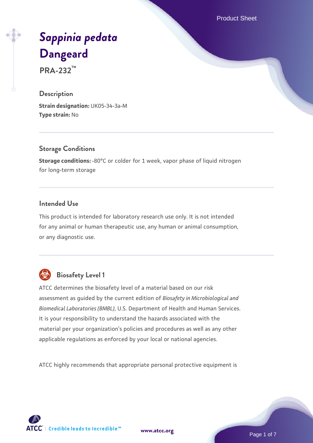Product Sheet

# *[Sappinia pedata](https://www.atcc.org/products/pra-232)* **[Dangeard](https://www.atcc.org/products/pra-232)**

**PRA-232™**

## **Description**

**Strain designation:** UK05-34-3a-M **Type strain:** No

## **Storage Conditions**

**Storage conditions:** -80°C or colder for 1 week, vapor phase of liquid nitrogen for long-term storage

## **Intended Use**

This product is intended for laboratory research use only. It is not intended for any animal or human therapeutic use, any human or animal consumption, or any diagnostic use.



# **Biosafety Level 1**

ATCC determines the biosafety level of a material based on our risk assessment as guided by the current edition of *Biosafety in Microbiological and Biomedical Laboratories (BMBL)*, U.S. Department of Health and Human Services. It is your responsibility to understand the hazards associated with the material per your organization's policies and procedures as well as any other applicable regulations as enforced by your local or national agencies.

ATCC highly recommends that appropriate personal protective equipment is

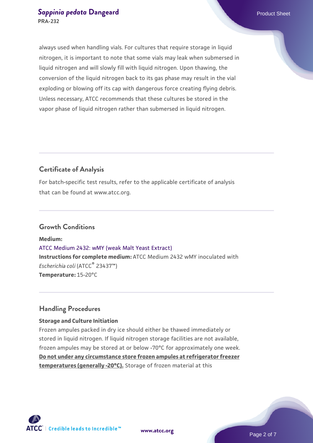### **[Sappinia pedata](https://www.atcc.org/products/pra-232) [Dangeard](https://www.atcc.org/products/pra-232) Product Sheet** Product Sheet **PRA-232**

always used when handling vials. For cultures that require storage in liquid nitrogen, it is important to note that some vials may leak when submersed in liquid nitrogen and will slowly fill with liquid nitrogen. Upon thawing, the conversion of the liquid nitrogen back to its gas phase may result in the vial exploding or blowing off its cap with dangerous force creating flying debris. Unless necessary, ATCC recommends that these cultures be stored in the vapor phase of liquid nitrogen rather than submersed in liquid nitrogen.

## **Certificate of Analysis**

For batch-specific test results, refer to the applicable certificate of analysis that can be found at www.atcc.org.

## **Growth Conditions**

**Medium:**  [ATCC Medium 2432: wMY \(weak Malt Yeast Extract\)](https://www.atcc.org/-/media/product-assets/documents/microbial-media-formulations/2/4/3/2/atcc-medium-2432.pdf?rev=f73d483e590547a9aed0a61b07a0a2da) **Instructions for complete medium:** ATCC Medium 2432 wMY inoculated with *Escherichia coli* (ATCC® 23437™) **Temperature:** 15-20°C

## **Handling Procedures**

#### **Storage and Culture Initiation**

Frozen ampules packed in dry ice should either be thawed immediately or stored in liquid nitrogen. If liquid nitrogen storage facilities are not available, frozen ampules may be stored at or below -70°C for approximately one week. **Do not under any circumstance store frozen ampules at refrigerator freezer temperatures (generally -20°C).** Storage of frozen material at this

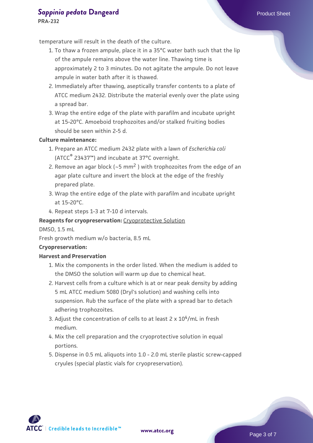## **[Sappinia pedata](https://www.atcc.org/products/pra-232) [Dangeard](https://www.atcc.org/products/pra-232) Product Sheet** Product Sheet

**PRA-232**

temperature will result in the death of the culture.

- 1. To thaw a frozen ampule, place it in a 35°C water bath such that the lip  $\;$ of the ampule remains above the water line. Thawing time is approximately 2 to 3 minutes. Do not agitate the ampule. Do not leave ampule in water bath after it is thawed.
- 2. Immediately after thawing, aseptically transfer contents to a plate of ATCC medium 2432. Distribute the material evenly over the plate using a spread bar.
- 3. Wrap the entire edge of the plate with parafilm and incubate upright at 15-20°C. Amoeboid trophozoites and/or stalked fruiting bodies should be seen within 2-5 d.

#### **Culture maintenance:**

- 1. Prepare an ATCC medium 2432 plate with a lawn of *Escherichia coli* (ATCC® 23437™) and incubate at 37°C overnight.
- 2. Remove an agar block (~5 mm<sup>2</sup>) with trophozoites from the edge of an agar plate culture and invert the block at the edge of the freshly prepared plate.
- 3. Wrap the entire edge of the plate with parafilm and incubate upright at 15-20°C.
- 4. Repeat steps 1-3 at 7-10 d intervals.

#### **Reagents for cryopreservation:** Cryoprotective Solution

DMSO, 1.5 mL

Fresh growth medium w/o bacteria, 8.5 mL

#### **Cryopreservation:**

#### **Harvest and Preservation**

- 1. Mix the components in the order listed. When the medium is added to the DMSO the solution will warm up due to chemical heat.
- 2. Harvest cells from a culture which is at or near peak density by adding 5 mL ATCC medium 5080 (Dryl's solution) and washing cells into suspension. Rub the surface of the plate with a spread bar to detach adhering trophozoites.
- 3. Adjust the concentration of cells to at least  $2 \times 10^4$ /mL in fresh medium.
- 4. Mix the cell preparation and the cryoprotective solution in equal portions.
- 5. Dispense in 0.5 mL aliquots into 1.0 2.0 mL sterile plastic screw-capped cryules (special plastic vials for cryopreservation).

 $\mathsf{ATCC}^*$   $\vdash$  Credible leads to Incredible  $\mathbb {m}$ 

**[www.atcc.org](http://www.atcc.org)**

Page 3 of 7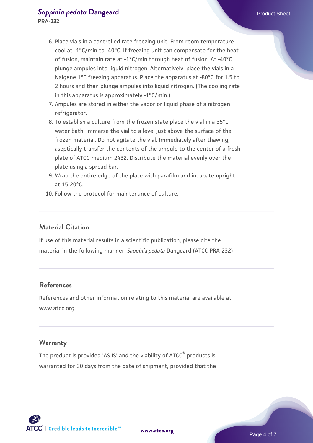# **[Sappinia pedata](https://www.atcc.org/products/pra-232) [Dangeard](https://www.atcc.org/products/pra-232) Product Sheet** Product Sheet

**PRA-232**

- 6. Place vials in a controlled rate freezing unit. From room temperature cool at -1°C/min to -40°C. If freezing unit can compensate for the heat of fusion, maintain rate at -1°C/min through heat of fusion. At -40°C plunge ampules into liquid nitrogen. Alternatively, place the vials in a Nalgene 1°C freezing apparatus. Place the apparatus at -80°C for 1.5 to 2 hours and then plunge ampules into liquid nitrogen. (The cooling rate in this apparatus is approximately -1°C/min.)
- 7. Ampules are stored in either the vapor or liquid phase of a nitrogen refrigerator.
- 8. To establish a culture from the frozen state place the vial in a 35°C  $\,$ water bath. Immerse the vial to a level just above the surface of the frozen material. Do not agitate the vial. Immediately after thawing, aseptically transfer the contents of the ampule to the center of a fresh plate of ATCC medium 2432. Distribute the material evenly over the plate using a spread bar.
- 9. Wrap the entire edge of the plate with parafilm and incubate upright at 15-20°C.
- 10. Follow the protocol for maintenance of culture.

## **Material Citation**

If use of this material results in a scientific publication, please cite the material in the following manner: *Sappinia pedata* Dangeard (ATCC PRA-232)

## **References**

References and other information relating to this material are available at www.atcc.org.

#### **Warranty**

The product is provided 'AS IS' and the viability of ATCC® products is warranted for 30 days from the date of shipment, provided that the

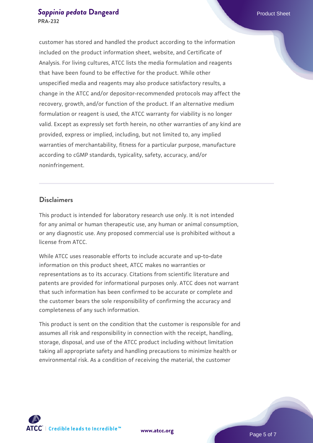customer has stored and handled the product according to the information included on the product information sheet, website, and Certificate of Analysis. For living cultures, ATCC lists the media formulation and reagents that have been found to be effective for the product. While other unspecified media and reagents may also produce satisfactory results, a change in the ATCC and/or depositor-recommended protocols may affect the recovery, growth, and/or function of the product. If an alternative medium formulation or reagent is used, the ATCC warranty for viability is no longer valid. Except as expressly set forth herein, no other warranties of any kind are provided, express or implied, including, but not limited to, any implied warranties of merchantability, fitness for a particular purpose, manufacture according to cGMP standards, typicality, safety, accuracy, and/or noninfringement.

#### **Disclaimers**

This product is intended for laboratory research use only. It is not intended for any animal or human therapeutic use, any human or animal consumption, or any diagnostic use. Any proposed commercial use is prohibited without a license from ATCC.

While ATCC uses reasonable efforts to include accurate and up-to-date information on this product sheet, ATCC makes no warranties or representations as to its accuracy. Citations from scientific literature and patents are provided for informational purposes only. ATCC does not warrant that such information has been confirmed to be accurate or complete and the customer bears the sole responsibility of confirming the accuracy and completeness of any such information.

This product is sent on the condition that the customer is responsible for and assumes all risk and responsibility in connection with the receipt, handling, storage, disposal, and use of the ATCC product including without limitation taking all appropriate safety and handling precautions to minimize health or environmental risk. As a condition of receiving the material, the customer





Page 5 of 7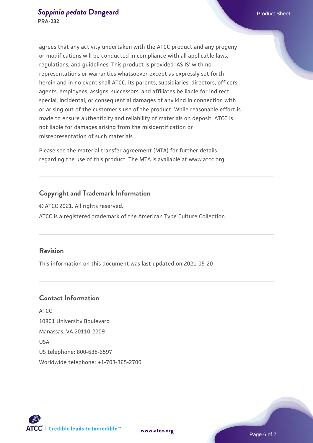agrees that any activity undertaken with the ATCC product and any progeny or modifications will be conducted in compliance with all applicable laws, regulations, and guidelines. This product is provided 'AS IS' with no representations or warranties whatsoever except as expressly set forth herein and in no event shall ATCC, its parents, subsidiaries, directors, officers, agents, employees, assigns, successors, and affiliates be liable for indirect, special, incidental, or consequential damages of any kind in connection with or arising out of the customer's use of the product. While reasonable effort is made to ensure authenticity and reliability of materials on deposit, ATCC is not liable for damages arising from the misidentification or misrepresentation of such materials.

Please see the material transfer agreement (MTA) for further details regarding the use of this product. The MTA is available at www.atcc.org.

## **Copyright and Trademark Information**

© ATCC 2021. All rights reserved. ATCC is a registered trademark of the American Type Culture Collection.

## **Revision**

This information on this document was last updated on 2021-05-20

## **Contact Information**

ATCC 10801 University Boulevard Manassas, VA 20110-2209 USA US telephone: 800-638-6597 Worldwide telephone: +1-703-365-2700